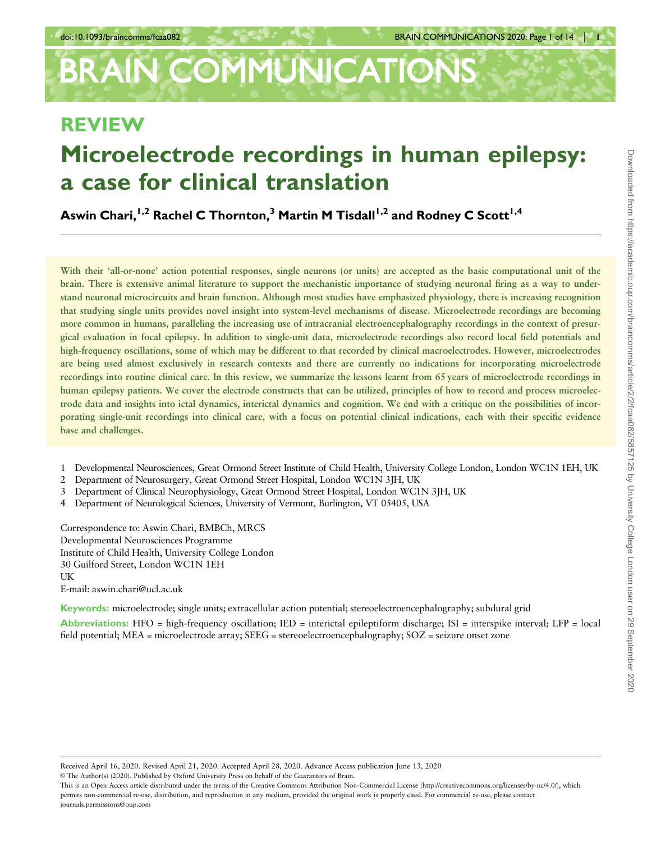# **BRAIN COMMUNICATIONS**

## REVIEW

## Microelectrode recordings in human epilepsy: a case for clinical translation

Aswin Chari,<sup>1,2</sup> Rachel C Thornton,<sup>3</sup> Martin M Tisdall<sup>1,2</sup> and Rodney C Scott<sup>1,4</sup>

With their 'all-or-none' action potential responses, single neurons (or units) are accepted as the basic computational unit of the brain. There is extensive animal literature to support the mechanistic importance of studying neuronal firing as a way to understand neuronal microcircuits and brain function. Although most studies have emphasized physiology, there is increasing recognition that studying single units provides novel insight into system-level mechanisms of disease. Microelectrode recordings are becoming more common in humans, paralleling the increasing use of intracranial electroencephalography recordings in the context of presurgical evaluation in focal epilepsy. In addition to single-unit data, microelectrode recordings also record local field potentials and high-frequency oscillations, some of which may be different to that recorded by clinical macroelectrodes. However, microelectrodes are being used almost exclusively in research contexts and there are currently no indications for incorporating microelectrode recordings into routine clinical care. In this review, we summarize the lessons learnt from 65 years of microelectrode recordings in human epilepsy patients. We cover the electrode constructs that can be utilized, principles of how to record and process microelectrode data and insights into ictal dynamics, interictal dynamics and cognition. We end with a critique on the possibilities of incorporating single-unit recordings into clinical care, with a focus on potential clinical indications, each with their specific evidence base and challenges.

- 1 Developmental Neurosciences, Great Ormond Street Institute of Child Health, University College London, London WC1N 1EH, UK
- 2 Department of Neurosurgery, Great Ormond Street Hospital, London WC1N 3JH, UK
- 3 Department of Clinical Neurophysiology, Great Ormond Street Hospital, London WC1N 3JH, UK
- 4 Department of Neurological Sciences, University of Vermont, Burlington, VT 05405, USA

Correspondence to: Aswin Chari, BMBCh, MRCS Developmental Neurosciences Programme Institute of Child Health, University College London 30 Guilford Street, London WC1N 1EH UK E-mail: aswin.chari@ucl.ac.uk

Keywords: microelectrode; single units; extracellular action potential; stereoelectroencephalography; subdural grid Abbreviations: HFO = high-frequency oscillation; IED = interictal epileptiform discharge; ISI = interspike interval; LFP = local field potential; MEA = microelectrode array; SEEG = stereoelectroencephalography; SOZ = seizure onset zone

Received April 16, 2020. Revised April 21, 2020. Accepted April 28, 2020. Advance Access publication June 13, 2020

V<sup>C</sup> The Author(s) (2020). Published by Oxford University Press on behalf of the Guarantors of Brain.

This is an Open Access article distributed under the terms of the Creative Commons Attribution Non-Commercial License (http://creativecommons.org/licenses/by-nc/4.0/), which permits non-commercial re-use, distribution, and reproduction in any medium, provided the original work is properly cited. For commercial re-use, please contact journals.permissions@oup.com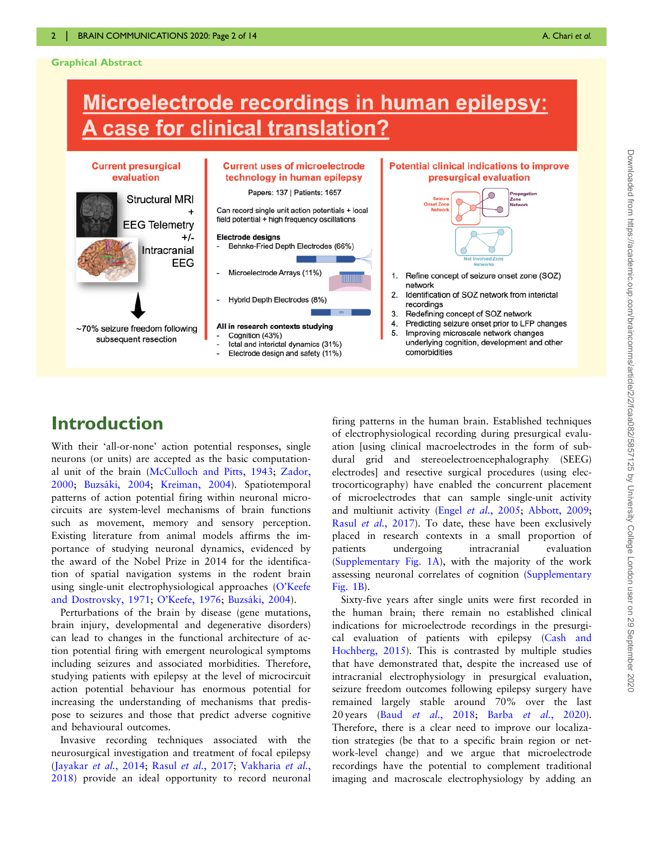#### Graphical Abstract

## Microelectrode recordings in human epilepsy: A case for clinical translation?



## Introduction

With their 'all-or-none' action potential responses, single neurons (or units) are accepted as the basic computational unit of the brain [\(McCulloch and Pitts, 1943;](#page-12-0) [Zador,](#page-13-0) [2000](#page-13-0); Buzsáki, 2004; [Kreiman, 2004\)](#page-12-0). Spatiotemporal patterns of action potential firing within neuronal microcircuits are system-level mechanisms of brain functions such as movement, memory and sensory perception. Existing literature from animal models affirms the importance of studying neuronal dynamics, evidenced by the award of the Nobel Prize in 2014 for the identification of spatial navigation systems in the rodent brain using single-unit electrophysiological approaches [\(O'Keefe](#page-12-0) [and Dostrovsky, 1971](#page-12-0); [O'Keefe, 1976;](#page-12-0) Buzsáki, 2004).

Perturbations of the brain by disease (gene mutations, brain injury, developmental and degenerative disorders) can lead to changes in the functional architecture of action potential firing with emergent neurological symptoms including seizures and associated morbidities. Therefore, studying patients with epilepsy at the level of microcircuit action potential behaviour has enormous potential for increasing the understanding of mechanisms that predispose to seizures and those that predict adverse cognitive and behavioural outcomes.

Invasive recording techniques associated with the neurosurgical investigation and treatment of focal epilepsy [\(Jayakar](#page-12-0) et al., 2014; Rasul et al.[, 2017](#page-12-0); [Vakharia](#page-13-0) et al., [2018](#page-13-0)) provide an ideal opportunity to record neuronal

firing patterns in the human brain. Established techniques of electrophysiological recording during presurgical evaluation [using clinical macroelectrodes in the form of subdural grid and stereoelectroencephalography (SEEG) electrodes] and resective surgical procedures (using electrocorticography) have enabled the concurrent placement of microelectrodes that can sample single-unit activity and multiunit activity (Engel et al.[, 2005](#page-11-0); [Abbott, 2009](#page-10-0); Rasul et al.[, 2017\)](#page-12-0). To date, these have been exclusively placed in research contexts in a small proportion of patients undergoing intracranial evaluation [\(Supplementary Fig. 1A](https://academic.oup.com/braincommsarticle-lookup/doi/10.1093/braincomms/fcaa082#supplementary-data)), with the majority of the work assessing neuronal correlates of cognition [\(Supplementary](https://academic.oup.com/braincommsarticle-lookup/doi/10.1093/braincomms/fcaa082#supplementary-data) [Fig. 1B](https://academic.oup.com/braincommsarticle-lookup/doi/10.1093/braincomms/fcaa082#supplementary-data)).

Sixty-five years after single units were first recorded in the human brain; there remain no established clinical indications for microelectrode recordings in the presurgical evaluation of patients with epilepsy ([Cash and](#page-11-0) [Hochberg, 2015](#page-11-0)). This is contrasted by multiple studies that have demonstrated that, despite the increased use of intracranial electrophysiology in presurgical evaluation, seizure freedom outcomes following epilepsy surgery have remained largely stable around 70% over the last 20 years (Baud et al.[, 2018](#page-11-0); Barba et al.[, 2020](#page-10-0)). Therefore, there is a clear need to improve our localization strategies (be that to a specific brain region or network-level change) and we argue that microelectrode recordings have the potential to complement traditional imaging and macroscale electrophysiology by adding an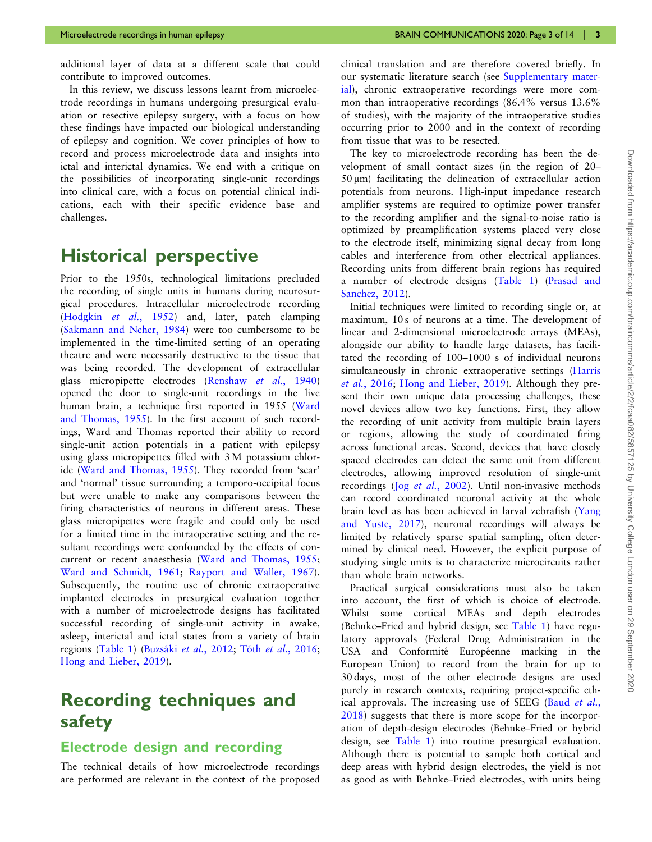additional layer of data at a different scale that could contribute to improved outcomes.

In this review, we discuss lessons learnt from microelectrode recordings in humans undergoing presurgical evaluation or resective epilepsy surgery, with a focus on how these findings have impacted our biological understanding of epilepsy and cognition. We cover principles of how to record and process microelectrode data and insights into ictal and interictal dynamics. We end with a critique on the possibilities of incorporating single-unit recordings into clinical care, with a focus on potential clinical indications, each with their specific evidence base and challenges.

## Historical perspective

Prior to the 1950s, technological limitations precluded the recording of single units in humans during neurosurgical procedures. Intracellular microelectrode recording ([Hodgkin](#page-11-0) et al., 1952) and, later, patch clamping ([Sakmann and Neher, 1984](#page-12-0)) were too cumbersome to be implemented in the time-limited setting of an operating theatre and were necessarily destructive to the tissue that was being recorded. The development of extracellular glass micropipette electrodes ([Renshaw](#page-12-0) et al., 1940) opened the door to single-unit recordings in the live human brain, a technique first reported in 1955 [\(Ward](#page-13-0) [and Thomas, 1955\)](#page-13-0). In the first account of such recordings, Ward and Thomas reported their ability to record single-unit action potentials in a patient with epilepsy using glass micropipettes filled with 3 M potassium chloride ([Ward and Thomas, 1955](#page-13-0)). They recorded from 'scar' and 'normal' tissue surrounding a temporo-occipital focus but were unable to make any comparisons between the firing characteristics of neurons in different areas. These glass micropipettes were fragile and could only be used for a limited time in the intraoperative setting and the resultant recordings were confounded by the effects of concurrent or recent anaesthesia [\(Ward and Thomas, 1955](#page-13-0); [Ward and Schmidt, 1961](#page-13-0); [Rayport and Waller, 1967\)](#page-12-0). Subsequently, the routine use of chronic extraoperative implanted electrodes in presurgical evaluation together with a number of microelectrode designs has facilitated successful recording of single-unit activity in awake, asleep, interictal and ictal states from a variety of brain regions [\(Table 1](#page-3-0)) (Buzsáki et al., 2012; Tóth et al.[, 2016](#page-13-0); [Hong and Lieber, 2019\)](#page-11-0).

## Recording techniques and safety

#### Electrode design and recording

The technical details of how microelectrode recordings are performed are relevant in the context of the proposed clinical translation and are therefore covered briefly. In our systematic literature search (see [Supplementary mater](https://academic.oup.com/braincommsarticle-lookup/doi/10.1093/braincomms/fcaa082#supplementary-data)[ial](https://academic.oup.com/braincommsarticle-lookup/doi/10.1093/braincomms/fcaa082#supplementary-data)), chronic extraoperative recordings were more common than intraoperative recordings (86.4% versus 13.6% of studies), with the majority of the intraoperative studies occurring prior to 2000 and in the context of recording from tissue that was to be resected.

The key to microelectrode recording has been the development of small contact sizes (in the region of 20–  $50 \text{ µm}$ ) facilitating the delineation of extracellular action potentials from neurons. High-input impedance research amplifier systems are required to optimize power transfer to the recording amplifier and the signal-to-noise ratio is optimized by preamplification systems placed very close to the electrode itself, minimizing signal decay from long cables and interference from other electrical appliances. Recording units from different brain regions has required a number of electrode designs [\(Table 1](#page-3-0)) [\(Prasad and](#page-12-0) [Sanchez, 2012](#page-12-0)).

Initial techniques were limited to recording single or, at maximum, 10 s of neurons at a time. The development of linear and 2-dimensional microelectrode arrays (MEAs), alongside our ability to handle large datasets, has facilitated the recording of 100–1000 s of individual neurons simultaneously in chronic extraoperative settings [\(Harris](#page-11-0) et al.[, 2016](#page-11-0); [Hong and Lieber, 2019](#page-11-0)). Although they present their own unique data processing challenges, these novel devices allow two key functions. First, they allow the recording of unit activity from multiple brain layers or regions, allowing the study of coordinated firing across functional areas. Second, devices that have closely spaced electrodes can detect the same unit from different electrodes, allowing improved resolution of single-unit recordings (Jog et al.[, 2002\)](#page-12-0). Until non-invasive methods can record coordinated neuronal activity at the whole brain level as has been achieved in larval zebrafish ([Yang](#page-13-0) [and Yuste, 2017](#page-13-0)), neuronal recordings will always be limited by relatively sparse spatial sampling, often determined by clinical need. However, the explicit purpose of studying single units is to characterize microcircuits rather than whole brain networks.

Practical surgical considerations must also be taken into account, the first of which is choice of electrode. Whilst some cortical MEAs and depth electrodes (Behnke–Fried and hybrid design, see [Table 1\)](#page-3-0) have regulatory approvals (Federal Drug Administration in the USA and Conformité Européenne marking in the European Union) to record from the brain for up to 30 days, most of the other electrode designs are used purely in research contexts, requiring project-specific ethical approvals. The increasing use of SEEG (Baud [et al.](#page-11-0), [2018\)](#page-11-0) suggests that there is more scope for the incorporation of depth-design electrodes (Behnke–Fried or hybrid design, see [Table 1](#page-3-0)) into routine presurgical evaluation. Although there is potential to sample both cortical and deep areas with hybrid design electrodes, the yield is not as good as with Behnke–Fried electrodes, with units being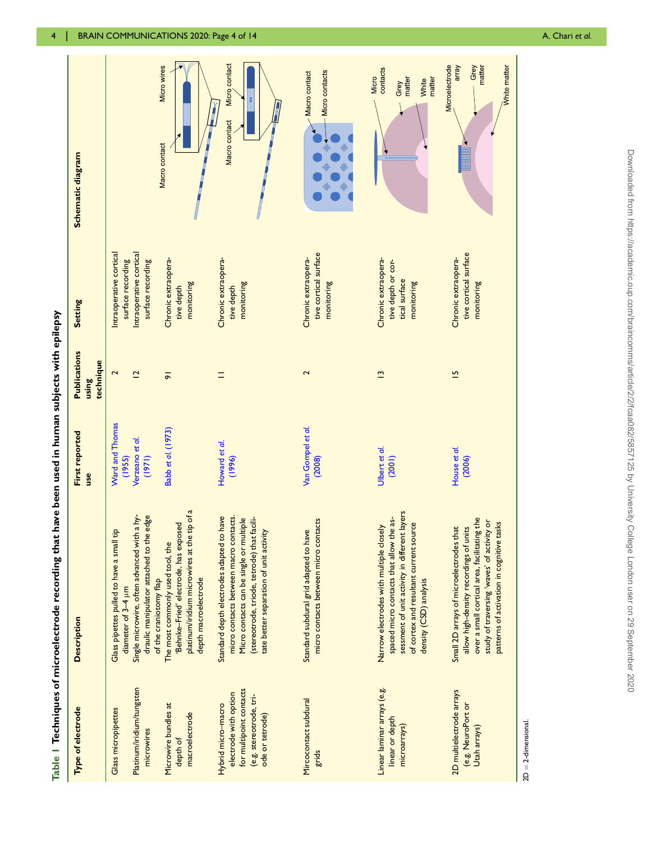<span id="page-3-0"></span>

| Platinum/iridium/tungsten<br>Microwire bundles at<br>Type of electrode<br><b>Glass micropipettes</b><br>microwires<br>depth of |                                                                                                                                                                                                                              |                                                        | <b>Publications</b>       |                                                                                              |                                                           |
|--------------------------------------------------------------------------------------------------------------------------------|------------------------------------------------------------------------------------------------------------------------------------------------------------------------------------------------------------------------------|--------------------------------------------------------|---------------------------|----------------------------------------------------------------------------------------------|-----------------------------------------------------------|
|                                                                                                                                | <b>Description</b>                                                                                                                                                                                                           | First reported<br>use                                  | technique<br><b>Suisn</b> | <b>Setting</b>                                                                               | Schematic diagram                                         |
|                                                                                                                                | draulic manipulator attached to the edge<br>Single microwire, often advanced with a hy-<br>Glass pipettes pulled to have a small tip<br>diameter of 3-4 µm                                                                   | Ward and Thomas<br>Verzeano et al.<br>(1971)<br>(1955) | 2<br>$\overline{2}$       | Intraoperative cortical<br>Intraoperative cortical<br>surface recording<br>surface recording |                                                           |
| macroelectrode                                                                                                                 | platinum/iridium microwires at the tip of a<br>'Behnke-Fried' electrode, has exposed<br>The most commonly used tool, the<br>depth macroelectrode<br>of the craniotomy flap                                                   | Babb et al. (1973)                                     | $\overline{5}$            | Chronic extraopera-<br>monitoring<br>tive depth                                              | Micro wires<br>Macro contact                              |
| for multipoint contacts<br>electrode with option<br>(e.g. stereotrode, tri-<br>Hybrid micro-macro<br>ode or tetrode)           | micro contacts between macro contacts.<br>Standard depth electrodes adapted to have<br>(stereotrode, triode, tetrode) that facili-<br>Micro contacts can be single or multiple<br>tate better separation of unit activity    | Howard et al.<br>(1996)                                |                           | Chronic extraopera-<br>monitoring<br>tive depth                                              | Micro contact<br>Macro contact                            |
| Mircocontact subdural                                                                                                          | micro contacts between micro contacts<br>Standard subdural grid adapted to have                                                                                                                                              | Van Gompel et al.<br>(2008)                            | 2                         | tive cortical surface<br>Chronic extraopera-<br>monitoring                                   | Micro contacts<br>Macro contact                           |
| Linear laminar arrays (e.g.<br>linear or depth                                                                                 | sessment of unit activity in different layers<br>spaced micro contacts that allow the as-<br>of cortex and resultant current source<br>Narrow electrodes with multiple closely<br>density (CSD) analysis                     | Ulbert et al.<br>(2001)                                | $\tilde{=}$               | Chronic extraopera-<br>tive depth or cor-<br>tical surface<br>monitoring                     | contacts<br>Micro<br>matter<br>matter<br>White<br>Grey    |
| 2D multielectrode arrays<br>(e.g. NeuroPort or                                                                                 | over a small cortical area, facilitating the<br>study of traversing 'waves' of activity or<br>patterns of activation in cognitive tasks<br>Small 2D arrays of microelectrodes that<br>allow high-density recordings of units | House et al.<br>(2006)                                 | $\overline{5}$            | tive cortical surface<br>Chronic extraopera-<br>monitoring                                   | Microelectrode<br>array<br>Grey<br>matter<br>White matter |

Table 1 Techniques of microelectrode recording that have been used in human subjects with epilepsy  $\ddot{ }$  $\frac{1}{2}$ l,  $\ddot{\cdot}$ j,  $\frac{1}{2}$  $\frac{1}{4}$ ś  $\overline{a}$ **A**  $\cdot$ l, É Î,

 $\overline{D}$ 2-dimensional.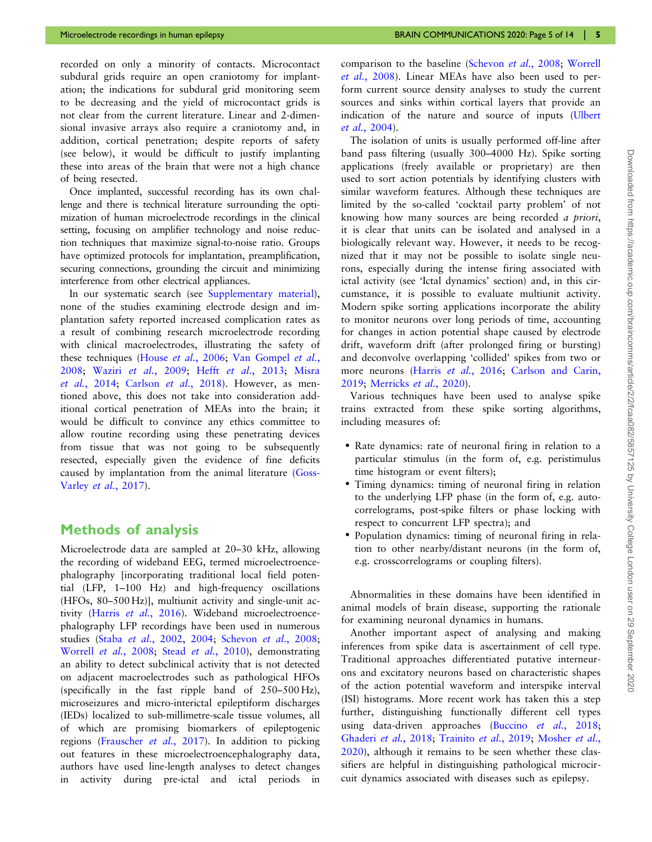recorded on only a minority of contacts. Microcontact subdural grids require an open craniotomy for implantation; the indications for subdural grid monitoring seem to be decreasing and the yield of microcontact grids is not clear from the current literature. Linear and 2-dimensional invasive arrays also require a craniotomy and, in addition, cortical penetration; despite reports of safety (see below), it would be difficult to justify implanting these into areas of the brain that were not a high chance of being resected.

Once implanted, successful recording has its own challenge and there is technical literature surrounding the optimization of human microelectrode recordings in the clinical setting, focusing on amplifier technology and noise reduction techniques that maximize signal-to-noise ratio. Groups have optimized protocols for implantation, preamplification, securing connections, grounding the circuit and minimizing interference from other electrical appliances.

In our systematic search (see [Supplementary material\)](https://academic.oup.com/braincommsarticle-lookup/doi/10.1093/braincomms/fcaa082#supplementary-data), none of the studies examining electrode design and implantation safety reported increased complication rates as a result of combining research microelectrode recording with clinical macroelectrodes, illustrating the safety of these techniques (House et al.[, 2006;](#page-11-0) [Van Gompel](#page-13-0) et al., [2008;](#page-13-0) Waziri et al.[, 2009](#page-13-0); Hefft et al.[, 2013](#page-11-0); [Misra](#page-12-0) et al.[, 2014](#page-12-0); [Carlson](#page-11-0) et al., 2018). However, as mentioned above, this does not take into consideration additional cortical penetration of MEAs into the brain; it would be difficult to convince any ethics committee to allow routine recording using these penetrating devices from tissue that was not going to be subsequently resected, especially given the evidence of fine deficits caused by implantation from the animal literature ([Goss-](#page-11-0)Varley et al.[, 2017\)](#page-11-0).

#### Methods of analysis

Microelectrode data are sampled at 20–30 kHz, allowing the recording of wideband EEG, termed microelectroencephalography [incorporating traditional local field potential (LFP, 1–100 Hz) and high-frequency oscillations (HFOs, 80–500 Hz)], multiunit activity and single-unit ac-tivity (Harris et al.[, 2016](#page-11-0)). Wideband microelectroencephalography LFP recordings have been used in numerous studies (Staba et al.[, 2002,](#page-13-0) [2004](#page-13-0); [Schevon](#page-12-0) et al., 2008; [Worrell](#page-13-0) et al., 2008; Stead et al.[, 2010](#page-13-0)), demonstrating an ability to detect subclinical activity that is not detected on adjacent macroelectrodes such as pathological HFOs (specifically in the fast ripple band of 250–500 Hz), microseizures and micro-interictal epileptiform discharges (IEDs) localized to sub-millimetre-scale tissue volumes, all of which are promising biomarkers of epileptogenic regions ([Frauscher](#page-11-0) et al., 2017). In addition to picking out features in these microelectroencephalography data, authors have used line-length analyses to detect changes in activity during pre-ictal and ictal periods in

comparison to the baseline [\(Schevon](#page-12-0) et al., 2008; [Worrell](#page-13-0) et al.[, 2008](#page-13-0)). Linear MEAs have also been used to perform current source density analyses to study the current sources and sinks within cortical layers that provide an indication of the nature and source of inputs ([Ulbert](#page-13-0) et al.[, 2004\)](#page-13-0).

The isolation of units is usually performed off-line after band pass filtering (usually 300–4000 Hz). Spike sorting applications (freely available or proprietary) are then used to sort action potentials by identifying clusters with similar waveform features. Although these techniques are limited by the so-called 'cocktail party problem' of not knowing how many sources are being recorded a priori, it is clear that units can be isolated and analysed in a biologically relevant way. However, it needs to be recognized that it may not be possible to isolate single neurons, especially during the intense firing associated with ictal activity (see 'Ictal dynamics' section) and, in this circumstance, it is possible to evaluate multiunit activity. Modern spike sorting applications incorporate the ability to monitor neurons over long periods of time, accounting for changes in action potential shape caused by electrode drift, waveform drift (after prolonged firing or bursting) and deconvolve overlapping 'collided' spikes from two or more neurons (Harris et al.[, 2016](#page-11-0); [Carlson and Carin,](#page-11-0) [2019;](#page-11-0) [Merricks](#page-12-0) et al., 2020).

Various techniques have been used to analyse spike trains extracted from these spike sorting algorithms, including measures of:

- Rate dynamics: rate of neuronal firing in relation to a particular stimulus (in the form of, e.g. peristimulus time histogram or event filters);
- Timing dynamics: timing of neuronal firing in relation to the underlying LFP phase (in the form of, e.g. autocorrelograms, post-spike filters or phase locking with respect to concurrent LFP spectra); and
- Population dynamics: timing of neuronal firing in relation to other nearby/distant neurons (in the form of, e.g. crosscorrelograms or coupling filters).

Abnormalities in these domains have been identified in animal models of brain disease, supporting the rationale for examining neuronal dynamics in humans.

Another important aspect of analysing and making inferences from spike data is ascertainment of cell type. Traditional approaches differentiated putative interneurons and excitatory neurons based on characteristic shapes of the action potential waveform and interspike interval (ISI) histograms. More recent work has taken this a step further, distinguishing functionally different cell types using data-driven approaches [\(Buccino](#page-11-0) et al., 2018; [Ghaderi](#page-11-0) et al., 2018; [Trainito](#page-13-0) et al., 2019; [Mosher](#page-12-0) et al., [2020\)](#page-12-0), although it remains to be seen whether these classifiers are helpful in distinguishing pathological microcircuit dynamics associated with diseases such as epilepsy.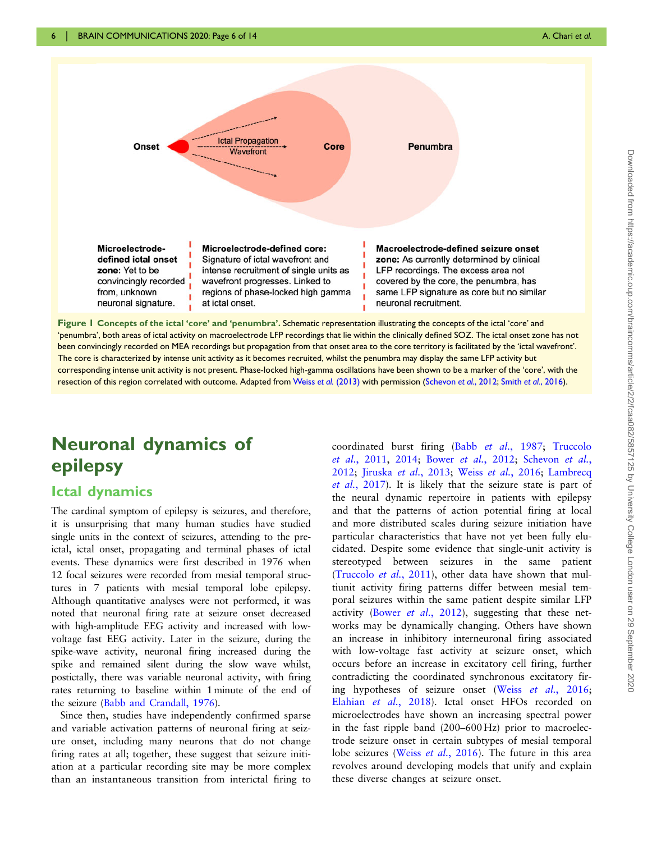<span id="page-5-0"></span>

regions of phase-locked high gamma same LFP signature as core but no similar from, unknown neuronal signature. at ictal onset. neuronal recruitment. Figure 1 Concepts of the ictal 'core' and 'penumbra'. Schematic representation illustrating the concepts of the ictal 'core' and 'penumbra', both areas of ictal activity on macroelectrode LFP recordings that lie within the clinically defined SOZ. The ictal onset zone has not been convincingly recorded on MEA recordings but propagation from that onset area to the core territory is facilitated by the 'ictal wavefront'. The core is characterized by intense unit activity as it becomes recruited, whilst the penumbra may display the same LFP activity but corresponding intense unit activity is not present. Phase-locked high-gamma oscillations have been shown to be a marker of the 'core', with the resection of this region correlated with outcome. Adapted from Weiss et al. [\(2013\)](#page-13-0) with permission ([Schevon](#page-12-0) et al., 2012; Smith et al.[, 2016\)](#page-13-0).

## Neuronal dynamics of epilepsy

#### Ictal dynamics

The cardinal symptom of epilepsy is seizures, and therefore, it is unsurprising that many human studies have studied single units in the context of seizures, attending to the preictal, ictal onset, propagating and terminal phases of ictal events. These dynamics were first described in 1976 when 12 focal seizures were recorded from mesial temporal structures in 7 patients with mesial temporal lobe epilepsy. Although quantitative analyses were not performed, it was noted that neuronal firing rate at seizure onset decreased with high-amplitude EEG activity and increased with lowvoltage fast EEG activity. Later in the seizure, during the spike-wave activity, neuronal firing increased during the spike and remained silent during the slow wave whilst, postictally, there was variable neuronal activity, with firing rates returning to baseline within 1 minute of the end of the seizure [\(Babb and Crandall, 1976\)](#page-10-0).

Since then, studies have independently confirmed sparse and variable activation patterns of neuronal firing at seizure onset, including many neurons that do not change firing rates at all; together, these suggest that seizure initiation at a particular recording site may be more complex than an instantaneous transition from interictal firing to

coordinated burst firing (Babb et al.[, 1987;](#page-10-0) [Truccolo](#page-13-0) et al.[, 2011,](#page-13-0) [2014;](#page-13-0) Bower et al.[, 2012;](#page-11-0) [Schevon](#page-12-0) et al., [2012](#page-12-0); [Jiruska](#page-12-0) et al., 2013; Weiss et al.[, 2016](#page-13-0); [Lambrecq](#page-12-0) et al.[, 2017](#page-12-0)). It is likely that the seizure state is part of the neural dynamic repertoire in patients with epilepsy and that the patterns of action potential firing at local and more distributed scales during seizure initiation have particular characteristics that have not yet been fully elucidated. Despite some evidence that single-unit activity is stereotyped between seizures in the same patient [\(Truccolo](#page-13-0) et al., 2011), other data have shown that multiunit activity firing patterns differ between mesial temporal seizures within the same patient despite similar LFP activity (Bower et al.[, 2012](#page-11-0)), suggesting that these networks may be dynamically changing. Others have shown an increase in inhibitory interneuronal firing associated with low-voltage fast activity at seizure onset, which occurs before an increase in excitatory cell firing, further contradicting the coordinated synchronous excitatory fir-ing hypotheses of seizure onset (Weiss et al.[, 2016](#page-13-0); [Elahian](#page-11-0) et al., 2018). Ictal onset HFOs recorded on microelectrodes have shown an increasing spectral power in the fast ripple band (200–600 Hz) prior to macroelectrode seizure onset in certain subtypes of mesial temporal lobe seizures (Weiss et al.[, 2016](#page-13-0)). The future in this area revolves around developing models that unify and explain these diverse changes at seizure onset.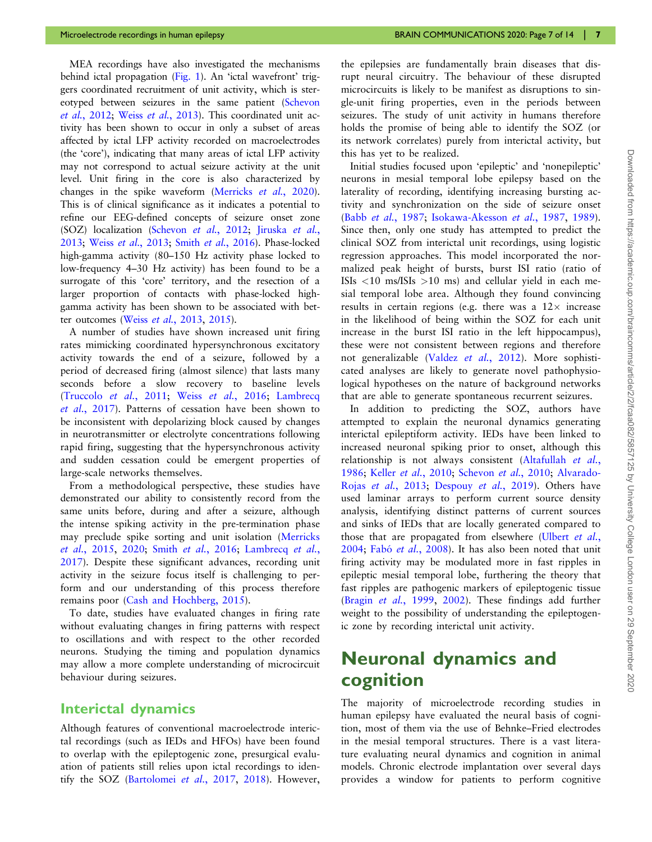MEA recordings have also investigated the mechanisms behind ictal propagation [\(Fig. 1](#page-5-0)). An 'ictal wavefront' triggers coordinated recruitment of unit activity, which is stereotyped between seizures in the same patient ([Schevon](#page-12-0) et al.[, 2012;](#page-12-0) Weiss et al.[, 2013](#page-13-0)). This coordinated unit activity has been shown to occur in only a subset of areas affected by ictal LFP activity recorded on macroelectrodes (the 'core'), indicating that many areas of ictal LFP activity may not correspond to actual seizure activity at the unit level. Unit firing in the core is also characterized by changes in the spike waveform [\(Merricks](#page-12-0) et al., 2020). This is of clinical significance as it indicates a potential to refine our EEG-defined concepts of seizure onset zone (SOZ) localization [\(Schevon](#page-12-0) et al., 2012; [Jiruska](#page-12-0) et al., [2013](#page-12-0); Weiss et al.[, 2013](#page-13-0); Smith et al.[, 2016](#page-13-0)). Phase-locked high-gamma activity (80–150 Hz activity phase locked to low-frequency 4–30 Hz activity) has been found to be a surrogate of this 'core' territory, and the resection of a larger proportion of contacts with phase-locked highgamma activity has been shown to be associated with bet-ter outcomes (Weiss et al.[, 2013](#page-13-0), [2015](#page-13-0)).

A number of studies have shown increased unit firing rates mimicking coordinated hypersynchronous excitatory activity towards the end of a seizure, followed by a period of decreased firing (almost silence) that lasts many seconds before a slow recovery to baseline levels ([Truccolo](#page-13-0) et al., 2011; Weiss et al.[, 2016;](#page-13-0) [Lambrecq](#page-12-0) et al.[, 2017\)](#page-12-0). Patterns of cessation have been shown to be inconsistent with depolarizing block caused by changes in neurotransmitter or electrolyte concentrations following rapid firing, suggesting that the hypersynchronous activity and sudden cessation could be emergent properties of large-scale networks themselves.

From a methodological perspective, these studies have demonstrated our ability to consistently record from the same units before, during and after a seizure, although the intense spiking activity in the pre-termination phase may preclude spike sorting and unit isolation ([Merricks](#page-12-0) et al.[, 2015](#page-12-0), [2020;](#page-12-0) Smith et al.[, 2016;](#page-13-0) [Lambrecq](#page-12-0) et al., [2017\)](#page-12-0). Despite these significant advances, recording unit activity in the seizure focus itself is challenging to perform and our understanding of this process therefore remains poor ([Cash and Hochberg, 2015\)](#page-11-0).

To date, studies have evaluated changes in firing rate without evaluating changes in firing patterns with respect to oscillations and with respect to the other recorded neurons. Studying the timing and population dynamics may allow a more complete understanding of microcircuit behaviour during seizures.

#### Interictal dynamics

Although features of conventional macroelectrode interictal recordings (such as IEDs and HFOs) have been found to overlap with the epileptogenic zone, presurgical evaluation of patients still relies upon ictal recordings to identify the SOZ [\(Bartolomei](#page-11-0) et al., 2017, [2018](#page-11-0)). However, the epilepsies are fundamentally brain diseases that disrupt neural circuitry. The behaviour of these disrupted microcircuits is likely to be manifest as disruptions to single-unit firing properties, even in the periods between seizures. The study of unit activity in humans therefore holds the promise of being able to identify the SOZ (or its network correlates) purely from interictal activity, but this has yet to be realized.

Initial studies focused upon 'epileptic' and 'nonepileptic' neurons in mesial temporal lobe epilepsy based on the laterality of recording, identifying increasing bursting activity and synchronization on the side of seizure onset (Babb et al.[, 1987;](#page-10-0) [Isokawa-Akesson](#page-11-0) et al., 1987, [1989\)](#page-11-0). Since then, only one study has attempted to predict the clinical SOZ from interictal unit recordings, using logistic regression approaches. This model incorporated the normalized peak height of bursts, burst ISI ratio (ratio of ISIs  $\langle 10 \text{ ms/ISIs } \rangle 10 \text{ ms}$  and cellular yield in each mesial temporal lobe area. Although they found convincing results in certain regions (e.g. there was a  $12\times$  increase in the likelihood of being within the SOZ for each unit increase in the burst ISI ratio in the left hippocampus), these were not consistent between regions and therefore not generalizable (Valdez et al.[, 2012](#page-13-0)). More sophisticated analyses are likely to generate novel pathophysiological hypotheses on the nature of background networks that are able to generate spontaneous recurrent seizures.

In addition to predicting the SOZ, authors have attempted to explain the neuronal dynamics generating interictal epileptiform activity. IEDs have been linked to increased neuronal spiking prior to onset, although this relationship is not always consistent [\(Altafullah](#page-10-0) et al., [1986;](#page-10-0) Keller et al.[, 2010;](#page-12-0) [Schevon](#page-12-0) et al., 2010; [Alvarado-](#page-10-0)Rojas et al.[, 2013;](#page-10-0) [Despouy](#page-11-0) et al., 2019). Others have used laminar arrays to perform current source density analysis, identifying distinct patterns of current sources and sinks of IEDs that are locally generated compared to those that are propagated from elsewhere [\(Ulbert](#page-13-0) et al.,  $2004$ ; Fabó et al.,  $2008$ ). It has also been noted that unit firing activity may be modulated more in fast ripples in epileptic mesial temporal lobe, furthering the theory that fast ripples are pathogenic markers of epileptogenic tissue (Bragin et al.[, 1999,](#page-11-0) [2002](#page-11-0)). These findings add further weight to the possibility of understanding the epileptogenic zone by recording interictal unit activity.

## Neuronal dynamics and cognition

The majority of microelectrode recording studies in human epilepsy have evaluated the neural basis of cognition, most of them via the use of Behnke–Fried electrodes in the mesial temporal structures. There is a vast literature evaluating neural dynamics and cognition in animal models. Chronic electrode implantation over several days provides a window for patients to perform cognitive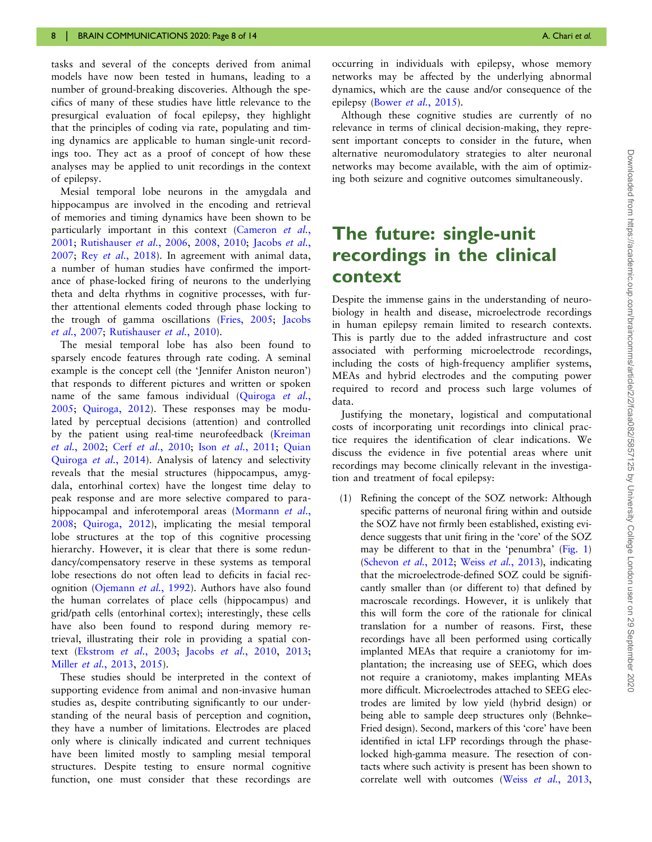tasks and several of the concepts derived from animal models have now been tested in humans, leading to a number of ground-breaking discoveries. Although the specifics of many of these studies have little relevance to the presurgical evaluation of focal epilepsy, they highlight that the principles of coding via rate, populating and timing dynamics are applicable to human single-unit recordings too. They act as a proof of concept of how these analyses may be applied to unit recordings in the context of epilepsy.

Mesial temporal lobe neurons in the amygdala and hippocampus are involved in the encoding and retrieval of memories and timing dynamics have been shown to be particularly important in this context [\(Cameron](#page-11-0) et al., [2001](#page-11-0); [Rutishauser](#page-12-0) et al., 2006, [2008, 2010](#page-12-0); [Jacobs](#page-11-0) et al., [2007](#page-11-0); Rey et al.[, 2018\)](#page-12-0). In agreement with animal data, a number of human studies have confirmed the importance of phase-locked firing of neurons to the underlying theta and delta rhythms in cognitive processes, with further attentional elements coded through phase locking to the trough of gamma oscillations ([Fries, 2005](#page-11-0); [Jacobs](#page-11-0) et al.[, 2007;](#page-11-0) [Rutishauser](#page-12-0) et al., 2010).

The mesial temporal lobe has also been found to sparsely encode features through rate coding. A seminal example is the concept cell (the 'Jennifer Aniston neuron') that responds to different pictures and written or spoken name of the same famous individual [\(Quiroga](#page-12-0) et al., [2005](#page-12-0); [Quiroga, 2012](#page-12-0)). These responses may be modulated by perceptual decisions (attention) and controlled by the patient using real-time neurofeedback [\(Kreiman](#page-12-0) et al.[, 2002;](#page-12-0) Cerf et al.[, 2010](#page-11-0); Ison et al.[, 2011](#page-11-0); [Quian](#page-12-0) [Quiroga](#page-12-0) et al., 2014). Analysis of latency and selectivity reveals that the mesial structures (hippocampus, amygdala, entorhinal cortex) have the longest time delay to peak response and are more selective compared to para-hippocampal and inferotemporal areas ([Mormann](#page-12-0) et al., [2008](#page-12-0); [Quiroga, 2012\)](#page-12-0), implicating the mesial temporal lobe structures at the top of this cognitive processing hierarchy. However, it is clear that there is some redundancy/compensatory reserve in these systems as temporal lobe resections do not often lead to deficits in facial recognition [\(Ojemann](#page-12-0) et al., 1992). Authors have also found the human correlates of place cells (hippocampus) and grid/path cells (entorhinal cortex); interestingly, these cells have also been found to respond during memory retrieval, illustrating their role in providing a spatial context ([Ekstrom](#page-11-0) et al., 2003; Jacobs et al.[, 2010,](#page-11-0) [2013;](#page-12-0) Miller et al.[, 2013](#page-12-0), [2015\)](#page-12-0).

These studies should be interpreted in the context of supporting evidence from animal and non-invasive human studies as, despite contributing significantly to our understanding of the neural basis of perception and cognition, they have a number of limitations. Electrodes are placed only where is clinically indicated and current techniques have been limited mostly to sampling mesial temporal structures. Despite testing to ensure normal cognitive function, one must consider that these recordings are

occurring in individuals with epilepsy, whose memory networks may be affected by the underlying abnormal dynamics, which are the cause and/or consequence of the epilepsy (Bower et al.[, 2015\)](#page-11-0).

Although these cognitive studies are currently of no relevance in terms of clinical decision-making, they represent important concepts to consider in the future, when alternative neuromodulatory strategies to alter neuronal networks may become available, with the aim of optimizing both seizure and cognitive outcomes simultaneously.

## The future: single-unit recordings in the clinical context

Despite the immense gains in the understanding of neurobiology in health and disease, microelectrode recordings in human epilepsy remain limited to research contexts. This is partly due to the added infrastructure and cost associated with performing microelectrode recordings, including the costs of high-frequency amplifier systems, MEAs and hybrid electrodes and the computing power required to record and process such large volumes of data.

Justifying the monetary, logistical and computational costs of incorporating unit recordings into clinical practice requires the identification of clear indications. We discuss the evidence in five potential areas where unit recordings may become clinically relevant in the investigation and treatment of focal epilepsy:

(1) Refining the concept of the SOZ network: Although specific patterns of neuronal firing within and outside the SOZ have not firmly been established, existing evidence suggests that unit firing in the 'core' of the SOZ may be different to that in the 'penumbra' [\(Fig. 1\)](#page-5-0) ([Schevon](#page-12-0) et al., 2012; Weiss et al.[, 2013](#page-13-0)), indicating that the microelectrode-defined SOZ could be significantly smaller than (or different to) that defined by macroscale recordings. However, it is unlikely that this will form the core of the rationale for clinical translation for a number of reasons. First, these recordings have all been performed using cortically implanted MEAs that require a craniotomy for implantation; the increasing use of SEEG, which does not require a craniotomy, makes implanting MEAs more difficult. Microelectrodes attached to SEEG electrodes are limited by low yield (hybrid design) or being able to sample deep structures only (Behnke– Fried design). Second, markers of this 'core' have been identified in ictal LFP recordings through the phaselocked high-gamma measure. The resection of contacts where such activity is present has been shown to correlate well with outcomes (Weiss et al.[, 2013](#page-13-0),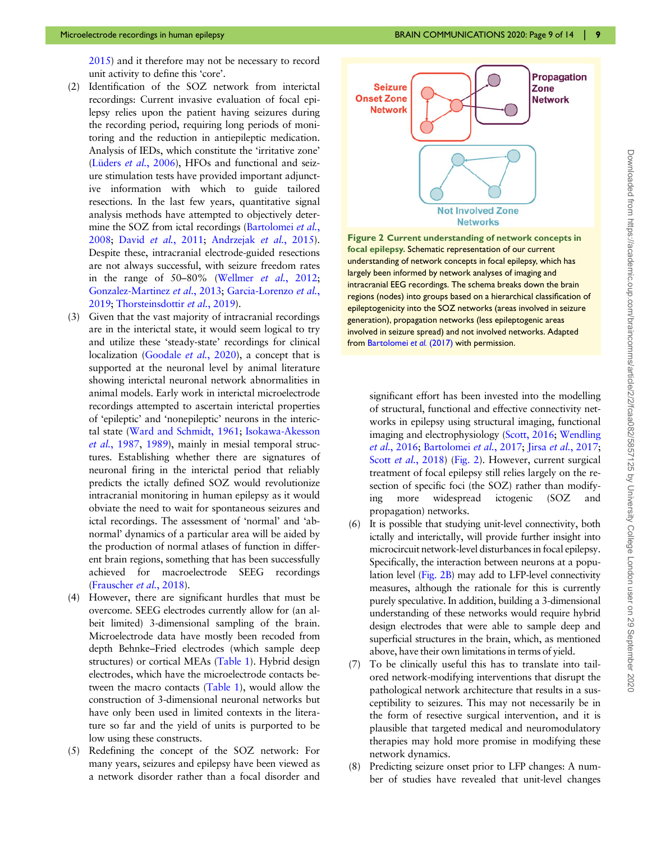<span id="page-8-0"></span>[2015](#page-13-0)) and it therefore may not be necessary to record unit activity to define this 'core'.

- (2) Identification of the SOZ network from interictal recordings: Current invasive evaluation of focal epilepsy relies upon the patient having seizures during the recording period, requiring long periods of monitoring and the reduction in antiepileptic medication. Analysis of IEDs, which constitute the 'irritative zone' (Lüders et al., 2006), HFOs and functional and seizure stimulation tests have provided important adjunctive information with which to guide tailored resections. In the last few years, quantitative signal analysis methods have attempted to objectively deter-mine the SOZ from ictal recordings ([Bartolomei](#page-10-0) et al., [2008](#page-10-0); David et al.[, 2011](#page-11-0); [Andrzejak](#page-10-0) et al., 2015). Despite these, intracranial electrode-guided resections are not always successful, with seizure freedom rates in the range of 50–80% [\(Wellmer](#page-13-0) et al., 2012; [Gonzalez-Martinez](#page-11-0) et al., 2013; [Garcia-Lorenzo](#page-11-0) et al., [2019](#page-11-0); [Thorsteinsdottir](#page-13-0) et al., 2019).
- (3) Given that the vast majority of intracranial recordings are in the interictal state, it would seem logical to try and utilize these 'steady-state' recordings for clinical localization [\(Goodale](#page-11-0) et al., 2020), a concept that is supported at the neuronal level by animal literature showing interictal neuronal network abnormalities in animal models. Early work in interictal microelectrode recordings attempted to ascertain interictal properties of 'epileptic' and 'nonepileptic' neurons in the interictal state ([Ward and Schmidt, 1961;](#page-13-0) [Isokawa-Akesson](#page-11-0) et al.[, 1987,](#page-11-0) [1989\)](#page-11-0), mainly in mesial temporal structures. Establishing whether there are signatures of neuronal firing in the interictal period that reliably predicts the ictally defined SOZ would revolutionize intracranial monitoring in human epilepsy as it would obviate the need to wait for spontaneous seizures and ictal recordings. The assessment of 'normal' and 'abnormal' dynamics of a particular area will be aided by the production of normal atlases of function in different brain regions, something that has been successfully achieved for macroelectrode SEEG recordings [\(Frauscher](#page-11-0) et al., 2018).
- (4) However, there are significant hurdles that must be overcome. SEEG electrodes currently allow for (an albeit limited) 3-dimensional sampling of the brain. Microelectrode data have mostly been recoded from depth Behnke–Fried electrodes (which sample deep structures) or cortical MEAs [\(Table 1\)](#page-3-0). Hybrid design electrodes, which have the microelectrode contacts between the macro contacts [\(Table 1](#page-3-0)), would allow the construction of 3-dimensional neuronal networks but have only been used in limited contexts in the literature so far and the yield of units is purported to be low using these constructs.
- (5) Redefining the concept of the SOZ network: For many years, seizures and epilepsy have been viewed as a network disorder rather than a focal disorder and



Figure 2 Current understanding of network concepts in focal epilepsy. Schematic representation of our current understanding of network concepts in focal epilepsy, which has largely been informed by network analyses of imaging and intracranial EEG recordings. The schema breaks down the brain regions (nodes) into groups based on a hierarchical classification of epileptogenicity into the SOZ networks (areas involved in seizure generation), propagation networks (less epileptogenic areas involved in seizure spread) and not involved networks. Adapted from [Bartolomei](#page-11-0) et al. (2017) with permission.

significant effort has been invested into the modelling of structural, functional and effective connectivity networks in epilepsy using structural imaging, functional imaging and electrophysiology ([Scott, 2016;](#page-12-0) [Wendling](#page-13-0) et al.[, 2016;](#page-13-0) [Bartolomei](#page-11-0) et al., 2017; Jirsa et al.[, 2017;](#page-12-0) Scott *et al.*[, 2018](#page-13-0)) (Fig. 2). However, current surgical treatment of focal epilepsy still relies largely on the resection of specific foci (the SOZ) rather than modifying more widespread ictogenic (SOZ and propagation) networks.

- (6) It is possible that studying unit-level connectivity, both ictally and interictally, will provide further insight into microcircuit network-level disturbances in focal epilepsy. Specifically, the interaction between neurons at a population level (Fig. 2B) may add to LFP-level connectivity measures, although the rationale for this is currently purely speculative. In addition, building a 3-dimensional understanding of these networks would require hybrid design electrodes that were able to sample deep and superficial structures in the brain, which, as mentioned above, have their own limitations in terms of yield.
- (7) To be clinically useful this has to translate into tailored network-modifying interventions that disrupt the pathological network architecture that results in a susceptibility to seizures. This may not necessarily be in the form of resective surgical intervention, and it is plausible that targeted medical and neuromodulatory therapies may hold more promise in modifying these network dynamics.
- (8) Predicting seizure onset prior to LFP changes: A number of studies have revealed that unit-level changes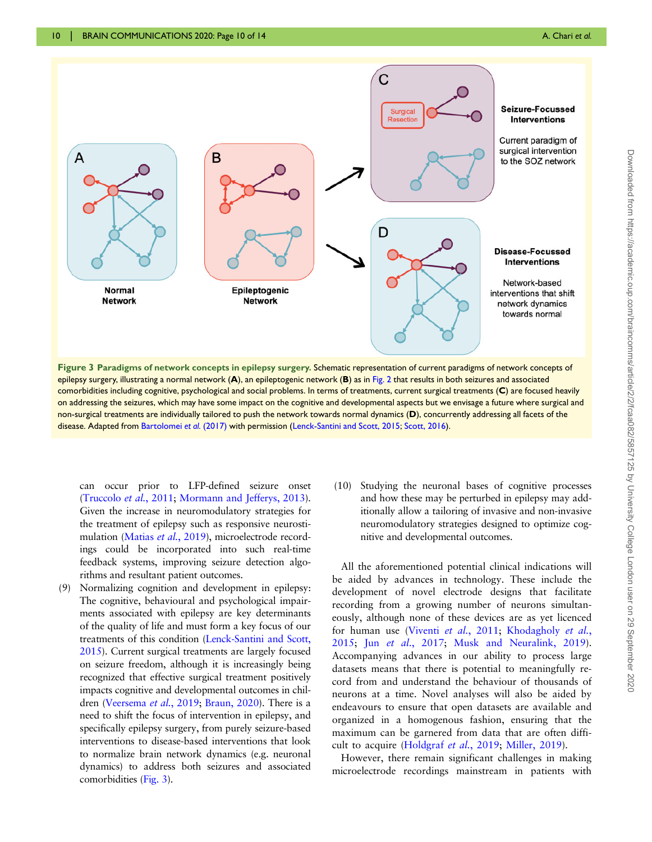

epilepsy surgery, illustrating a normal network  $(A)$ , an epileptogenic network  $(B)$  as in [Fig. 2](#page-8-0) that results in both seizures and associated comorbidities including cognitive, psychological and social problems. In terms of treatments, current surgical treatments (C) are focused heavily on addressing the seizures, which may have some impact on the cognitive and developmental aspects but we envisage a future where surgical and non-surgical treatments are individually tailored to push the network towards normal dynamics (D), concurrently addressing all facets of the disease. Adapted from [Bartolomei](#page-11-0) et al. (2017) with permission ([Lenck-Santini and Scott, 2015;](#page-12-0) [Scott, 2016\)](#page-12-0).

can occur prior to LFP-defined seizure onset [\(Truccolo](#page-13-0) et al., 2011; [Mormann and Jefferys, 2013\)](#page-12-0). Given the increase in neuromodulatory strategies for the treatment of epilepsy such as responsive neurosti-mulation ([Matias](#page-12-0) et al., 2019), microelectrode recordings could be incorporated into such real-time feedback systems, improving seizure detection algorithms and resultant patient outcomes.

- (9) Normalizing cognition and development in epilepsy: The cognitive, behavioural and psychological impairments associated with epilepsy are key determinants of the quality of life and must form a key focus of our treatments of this condition [\(Lenck-Santini and Scott,](#page-12-0) [2015\)](#page-12-0). Current surgical treatments are largely focused on seizure freedom, although it is increasingly being recognized that effective surgical treatment positively impacts cognitive and developmental outcomes in chil-dren [\(Veersema](#page-13-0) et al., 2019; [Braun, 2020](#page-11-0)). There is a need to shift the focus of intervention in epilepsy, and specifically epilepsy surgery, from purely seizure-based interventions to disease-based interventions that look to normalize brain network dynamics (e.g. neuronal dynamics) to address both seizures and associated comorbidities (Fig. 3).
- (10) Studying the neuronal bases of cognitive processes and how these may be perturbed in epilepsy may additionally allow a tailoring of invasive and non-invasive neuromodulatory strategies designed to optimize cognitive and developmental outcomes.

All the aforementioned potential clinical indications will be aided by advances in technology. These include the development of novel electrode designs that facilitate recording from a growing number of neurons simultaneously, although none of these devices are as yet licenced for human use (Viventi et al.[, 2011;](#page-13-0) [Khodagholy](#page-12-0) et al., [2015](#page-12-0); Jun et al.[, 2017](#page-12-0); [Musk and Neuralink, 2019](#page-12-0)). Accompanying advances in our ability to process large datasets means that there is potential to meaningfully record from and understand the behaviour of thousands of neurons at a time. Novel analyses will also be aided by endeavours to ensure that open datasets are available and organized in a homogenous fashion, ensuring that the maximum can be garnered from data that are often difficult to acquire ([Holdgraf](#page-11-0) et al., 2019; [Miller, 2019\)](#page-12-0).

However, there remain significant challenges in making microelectrode recordings mainstream in patients with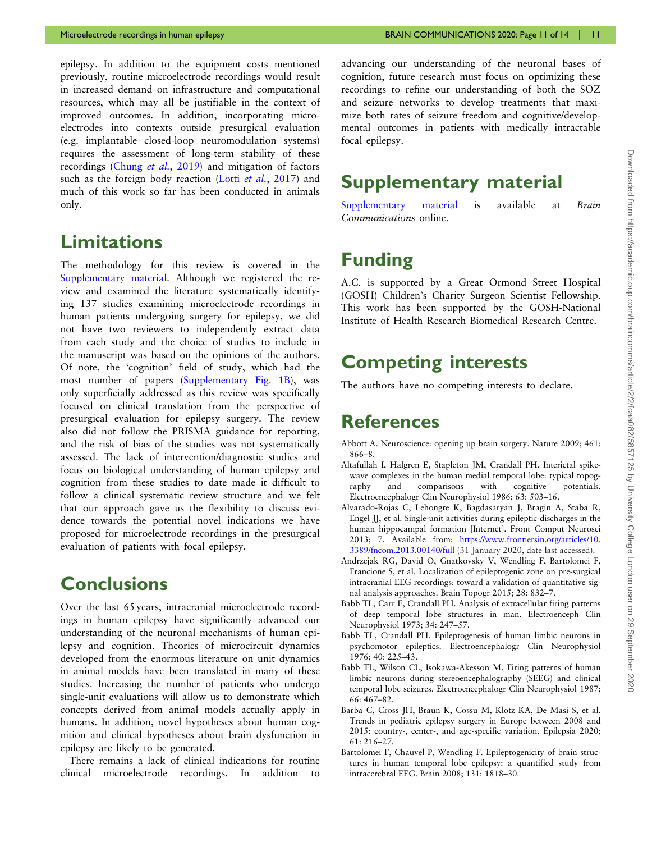<span id="page-10-0"></span>epilepsy. In addition to the equipment costs mentioned previously, routine microelectrode recordings would result in increased demand on infrastructure and computational resources, which may all be justifiable in the context of improved outcomes. In addition, incorporating microelectrodes into contexts outside presurgical evaluation (e.g. implantable closed-loop neuromodulation systems) requires the assessment of long-term stability of these recordings [\(Chung](#page-11-0) et al., 2019) and mitigation of factors such as the foreign body reaction (Lotti et al.[, 2017](#page-12-0)) and much of this work so far has been conducted in animals only.

## Limitations

The methodology for this review is covered in the [Supplementary material.](https://academic.oup.com/braincommsarticle-lookup/doi/10.1093/braincomms/fcaa082#supplementary-data) Although we registered the review and examined the literature systematically identifying 137 studies examining microelectrode recordings in human patients undergoing surgery for epilepsy, we did not have two reviewers to independently extract data from each study and the choice of studies to include in the manuscript was based on the opinions of the authors. Of note, the 'cognition' field of study, which had the most number of papers ([Supplementary Fig. 1B\)](https://academic.oup.com/braincommsarticle-lookup/doi/10.1093/braincomms/fcaa082#supplementary-data), was only superficially addressed as this review was specifically focused on clinical translation from the perspective of presurgical evaluation for epilepsy surgery. The review also did not follow the PRISMA guidance for reporting, and the risk of bias of the studies was not systematically assessed. The lack of intervention/diagnostic studies and focus on biological understanding of human epilepsy and cognition from these studies to date made it difficult to follow a clinical systematic review structure and we felt that our approach gave us the flexibility to discuss evidence towards the potential novel indications we have proposed for microelectrode recordings in the presurgical evaluation of patients with focal epilepsy.

### **Conclusions**

Over the last 65 years, intracranial microelectrode recordings in human epilepsy have significantly advanced our understanding of the neuronal mechanisms of human epilepsy and cognition. Theories of microcircuit dynamics developed from the enormous literature on unit dynamics in animal models have been translated in many of these studies. Increasing the number of patients who undergo single-unit evaluations will allow us to demonstrate which concepts derived from animal models actually apply in humans. In addition, novel hypotheses about human cognition and clinical hypotheses about brain dysfunction in epilepsy are likely to be generated.

There remains a lack of clinical indications for routine clinical microelectrode recordings. In addition to advancing our understanding of the neuronal bases of cognition, future research must focus on optimizing these recordings to refine our understanding of both the SOZ and seizure networks to develop treatments that maximize both rates of seizure freedom and cognitive/developmental outcomes in patients with medically intractable focal epilepsy.

## Supplementary material

[Supplementary material](https://academic.oup.com/braincommsarticle-lookup/doi/10.1093/braincomms/fcaa082#supplementary-data) is available at Brain Communications online.

## Funding

A.C. is supported by a Great Ormond Street Hospital (GOSH) Children's Charity Surgeon Scientist Fellowship. This work has been supported by the GOSH-National Institute of Health Research Biomedical Research Centre.

## Competing interests

The authors have no competing interests to declare.

### References

- Abbott A. Neuroscience: opening up brain surgery. Nature 2009; 461: 866–8.
- Altafullah I, Halgren E, Stapleton JM, Crandall PH. Interictal spikewave complexes in the human medial temporal lobe: typical topography and comparisons with cognitive potentials. Electroencephalogr Clin Neurophysiol 1986; 63: 503–16.
- Alvarado-Rojas C, Lehongre K, Bagdasaryan J, Bragin A, Staba R, Engel JJ, et al. Single-unit activities during epileptic discharges in the human hippocampal formation [Internet]. Front Comput Neurosci 2013; 7. Available from: [https://www.frontiersin.org/articles/10.](https://www.frontiersin.org/articles/10.3389/fncom.2013.00140/full) [3389/fncom.2013.00140/full](https://www.frontiersin.org/articles/10.3389/fncom.2013.00140/full) (31 January 2020, date last accessed).
- Andrzejak RG, David O, Gnatkovsky V, Wendling F, Bartolomei F, Francione S, et al. Localization of epileptogenic zone on pre-surgical intracranial EEG recordings: toward a validation of quantitative signal analysis approaches. Brain Topogr 2015; 28: 832–7.
- Babb TL, Carr E, Crandall PH. Analysis of extracellular firing patterns of deep temporal lobe structures in man. Electroenceph Clin Neurophysiol 1973; 34: 247–57.
- Babb TL, Crandall PH. Epileptogenesis of human limbic neurons in psychomotor epileptics. Electroencephalogr Clin Neurophysiol 1976; 40: 225–43.
- Babb TL, Wilson CL, Isokawa-Akesson M. Firing patterns of human limbic neurons during stereoencephalography (SEEG) and clinical temporal lobe seizures. Electroencephalogr Clin Neurophysiol 1987; 66: 467–82.
- Barba C, Cross JH, Braun K, Cossu M, Klotz KA, De Masi S, et al. Trends in pediatric epilepsy surgery in Europe between 2008 and 2015: country-, center-, and age-specific variation. Epilepsia 2020;  $61.216 - 27$
- Bartolomei F, Chauvel P, Wendling F. Epileptogenicity of brain structures in human temporal lobe epilepsy: a quantified study from intracerebral EEG. Brain 2008; 131: 1818–30.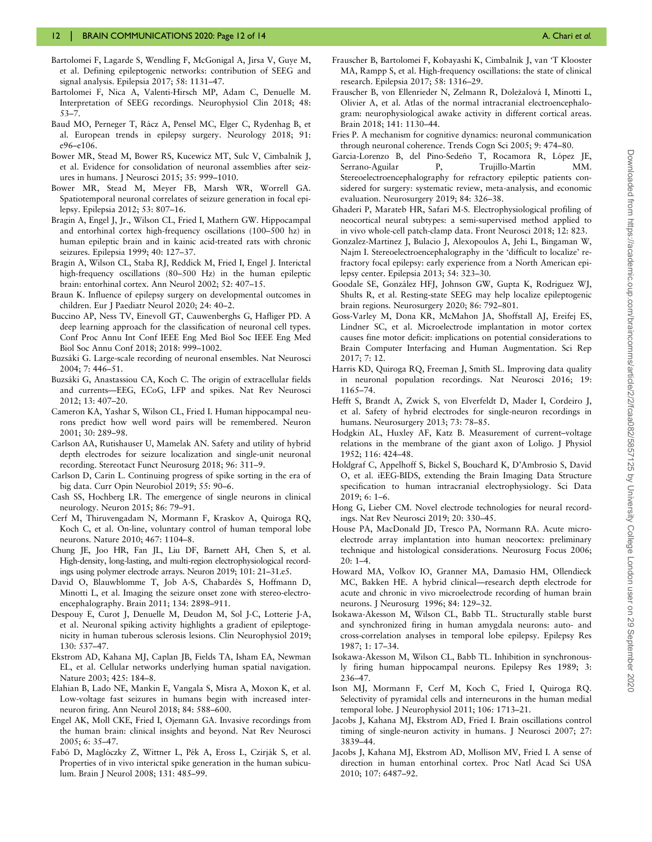- <span id="page-11-0"></span>Bartolomei F, Lagarde S, Wendling F, McGonigal A, Jirsa V, Guye M, et al. Defining epileptogenic networks: contribution of SEEG and signal analysis. Epilepsia 2017; 58: 1131–47.
- Bartolomei F, Nica A, Valenti-Hirsch MP, Adam C, Denuelle M. Interpretation of SEEG recordings. Neurophysiol Clin 2018; 48: 53–7.
- Baud MO, Perneger T, Rácz A, Pensel MC, Elger C, Rydenhag B, et al. European trends in epilepsy surgery. Neurology 2018; 91: e96–e106.
- Bower MR, Stead M, Bower RS, Kucewicz MT, Sulc V, Cimbalnik J, et al. Evidence for consolidation of neuronal assemblies after seizures in humans. J Neurosci 2015; 35: 999–1010.
- Bower MR, Stead M, Meyer FB, Marsh WR, Worrell GA. Spatiotemporal neuronal correlates of seizure generation in focal epilepsy. Epilepsia 2012; 53: 807–16.
- Bragin A, Engel J, Jr., Wilson CL, Fried I, Mathern GW. Hippocampal and entorhinal cortex high-frequency oscillations (100–500 hz) in human epileptic brain and in kainic acid-treated rats with chronic seizures. Epilepsia 1999; 40: 127–37.
- Bragin A, Wilson CL, Staba RJ, Reddick M, Fried I, Engel J. Interictal high-frequency oscillations (80–500 Hz) in the human epileptic brain: entorhinal cortex. Ann Neurol 2002; 52: 407–15.
- Braun K. Influence of epilepsy surgery on developmental outcomes in children. Eur J Paediatr Neurol 2020; 24: 40–2.
- Buccino AP, Ness TV, Einevoll GT, Cauwenberghs G, Hafliger PD. A deep learning approach for the classification of neuronal cell types. Conf Proc Annu Int Conf IEEE Eng Med Biol Soc IEEE Eng Med Biol Soc Annu Conf 2018; 2018: 999–1002.
- Buzsáki G. Large-scale recording of neuronal ensembles. Nat Neurosci 2004; 7: 446–51.
- Buzsáki G, Anastassiou CA, Koch C. The origin of extracellular fields and currents—EEG, ECoG, LFP and spikes. Nat Rev Neurosci 2012; 13: 407–20.
- Cameron KA, Yashar S, Wilson CL, Fried I. Human hippocampal neurons predict how well word pairs will be remembered. Neuron 2001; 30: 289–98.
- Carlson AA, Rutishauser U, Mamelak AN. Safety and utility of hybrid depth electrodes for seizure localization and single-unit neuronal recording. Stereotact Funct Neurosurg 2018; 96: 311–9.
- Carlson D, Carin L. Continuing progress of spike sorting in the era of big data. Curr Opin Neurobiol 2019; 55: 90–6.
- Cash SS, Hochberg LR. The emergence of single neurons in clinical neurology. Neuron 2015; 86: 79–91.
- Cerf M, Thiruvengadam N, Mormann F, Kraskov A, Quiroga RQ, Koch C, et al. On-line, voluntary control of human temporal lobe neurons. Nature 2010; 467: 1104–8.
- Chung JE, Joo HR, Fan JL, Liu DF, Barnett AH, Chen S, et al. High-density, long-lasting, and multi-region electrophysiological recordings using polymer electrode arrays. Neuron 2019; 101: 21–31.e5.
- David O, Blauwblomme T, Job A-S, Chabardès S, Hoffmann D, Minotti L, et al. Imaging the seizure onset zone with stereo-electroencephalography. Brain 2011; 134: 2898–911.
- Despouy E, Curot J, Denuelle M, Deudon M, Sol J-C, Lotterie J-A, et al. Neuronal spiking activity highlights a gradient of epileptogenicity in human tuberous sclerosis lesions. Clin Neurophysiol 2019; 130: 537–47.
- Ekstrom AD, Kahana MJ, Caplan JB, Fields TA, Isham EA, Newman EL, et al. Cellular networks underlying human spatial navigation. Nature 2003; 425: 184–8.
- Elahian B, Lado NE, Mankin E, Vangala S, Misra A, Moxon K, et al. Low-voltage fast seizures in humans begin with increased interneuron firing. Ann Neurol 2018; 84: 588–600.
- Engel AK, Moll CKE, Fried I, Ojemann GA. Invasive recordings from the human brain: clinical insights and beyond. Nat Rev Neurosci 2005; 6: 35–47.
- Fabó D, Maglóczky Z, Wittner L, Pék A, Eross L, Czirják S, et al. Properties of in vivo interictal spike generation in the human subiculum. Brain J Neurol 2008; 131: 485–99.
- Frauscher B, Bartolomei F, Kobayashi K, Cimbalnik J, van 'T Klooster MA, Rampp S, et al. High-frequency oscillations: the state of clinical research. Epilepsia 2017; 58: 1316–29.
- Frauscher B, von Ellenrieder N, Zelmann R, Doležalová I, Minotti L, Olivier A, et al. Atlas of the normal intracranial electroencephalogram: neurophysiological awake activity in different cortical areas. Brain 2018; 141: 1130–44.
- Fries P. A mechanism for cognitive dynamics: neuronal communication through neuronal coherence. Trends Cogn Sci 2005; 9: 474–80.
- Garcia-Lorenzo B, del Pino-Sedeño T, Rocamora R, López JE, Serrano-Aguilar P, Trujillo-Martín MM. Stereoelectroencephalography for refractory epileptic patients considered for surgery: systematic review, meta-analysis, and economic evaluation. Neurosurgery 2019; 84: 326–38.
- Ghaderi P, Marateb HR, Safari M-S. Electrophysiological profiling of neocortical neural subtypes: a semi-supervised method applied to in vivo whole-cell patch-clamp data. Front Neurosci 2018; 12: 823.
- Gonzalez-Martinez J, Bulacio J, Alexopoulos A, Jehi L, Bingaman W, Najm I. Stereoelectroencephalography in the 'difficult to localize' refractory focal epilepsy: early experience from a North American epilepsy center. Epilepsia 2013; 54: 323–30.
- Goodale SE, González HFJ, Johnson GW, Gupta K, Rodriguez WJ, Shults R, et al. Resting-state SEEG may help localize epileptogenic brain regions. Neurosurgery 2020; 86: 792–801.
- Goss-Varley M, Dona KR, McMahon JA, Shoffstall AJ, Ereifej ES, Lindner SC, et al. Microelectrode implantation in motor cortex causes fine motor deficit: implications on potential considerations to Brain Computer Interfacing and Human Augmentation. Sci Rep 2017; 7: 12.
- Harris KD, Quiroga RQ, Freeman J, Smith SL. Improving data quality in neuronal population recordings. Nat Neurosci 2016; 19: 1165–74.
- Hefft S, Brandt A, Zwick S, von Elverfeldt D, Mader I, Cordeiro J, et al. Safety of hybrid electrodes for single-neuron recordings in humans. Neurosurgery 2013; 73: 78–85.
- Hodgkin AL, Huxley AF, Katz B. Measurement of current–voltage relations in the membrane of the giant axon of Loligo. J Physiol 1952; 116: 424–48.
- Holdgraf C, Appelhoff S, Bickel S, Bouchard K, D'Ambrosio S, David O, et al. iEEG-BIDS, extending the Brain Imaging Data Structure specification to human intracranial electrophysiology. Sci Data 2019; 6: 1–6.
- Hong G, Lieber CM. Novel electrode technologies for neural recordings. Nat Rev Neurosci 2019; 20: 330–45.
- House PA, MacDonald JD, Tresco PA, Normann RA. Acute microelectrode array implantation into human neocortex: preliminary technique and histological considerations. Neurosurg Focus 2006; 20: 1–4.
- Howard MA, Volkov IO, Granner MA, Damasio HM, Ollendieck MC, Bakken HE. A hybrid clinical—research depth electrode for acute and chronic in vivo microelectrode recording of human brain neurons. J Neurosurg 1996; 84: 129–32.
- Isokawa-Akesson M, Wilson CL, Babb TL. Structurally stable burst and synchronized firing in human amygdala neurons: auto- and cross-correlation analyses in temporal lobe epilepsy. Epilepsy Res 1987; 1: 17–34.
- Isokawa-Akesson M, Wilson CL, Babb TL. Inhibition in synchronously firing human hippocampal neurons. Epilepsy Res 1989; 3: 236–47.
- Ison MJ, Mormann F, Cerf M, Koch C, Fried I, Quiroga RQ. Selectivity of pyramidal cells and interneurons in the human medial temporal lobe. J Neurophysiol 2011; 106: 1713–21.
- Jacobs J, Kahana MJ, Ekstrom AD, Fried I. Brain oscillations control timing of single-neuron activity in humans. J Neurosci 2007; 27: 3839–44.
- Jacobs J, Kahana MJ, Ekstrom AD, Mollison MV, Fried I. A sense of direction in human entorhinal cortex. Proc Natl Acad Sci USA 2010; 107: 6487–92.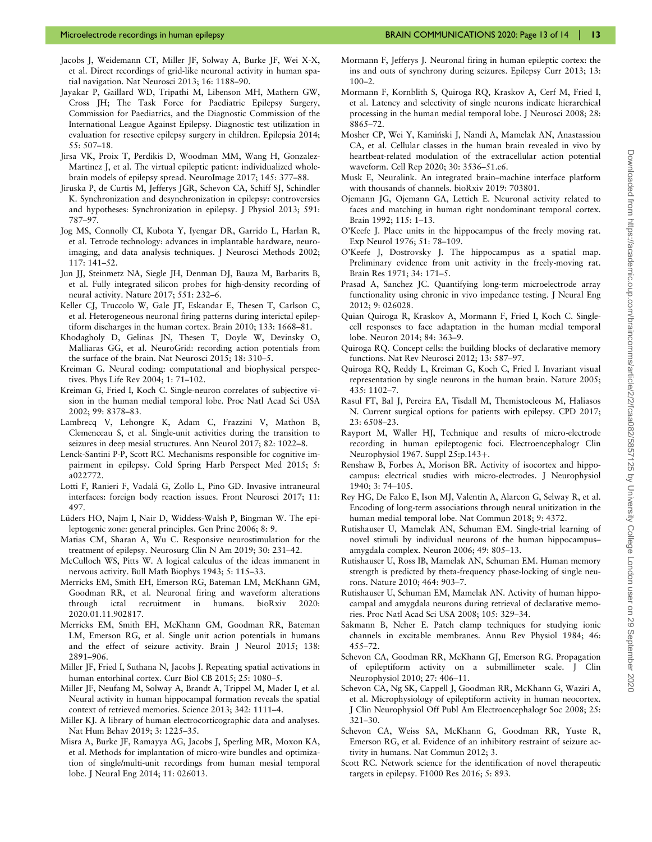- <span id="page-12-0"></span>Jacobs J, Weidemann CT, Miller JF, Solway A, Burke JF, Wei X-X, et al. Direct recordings of grid-like neuronal activity in human spatial navigation. Nat Neurosci 2013; 16: 1188–90.
- Jayakar P, Gaillard WD, Tripathi M, Libenson MH, Mathern GW, Cross JH; The Task Force for Paediatric Epilepsy Surgery, Commission for Paediatrics, and the Diagnostic Commission of the International League Against Epilepsy. Diagnostic test utilization in evaluation for resective epilepsy surgery in children. Epilepsia 2014; 55: 507–18.
- Jirsa VK, Proix T, Perdikis D, Woodman MM, Wang H, Gonzalez-Martinez J, et al. The virtual epileptic patient: individualized wholebrain models of epilepsy spread. NeuroImage 2017; 145: 377–88.
- Jiruska P, de Curtis M, Jefferys JGR, Schevon CA, Schiff SJ, Schindler K. Synchronization and desynchronization in epilepsy: controversies and hypotheses: Synchronization in epilepsy. J Physiol 2013; 591: 787–97.
- Jog MS, Connolly CI, Kubota Y, Iyengar DR, Garrido L, Harlan R, et al. Tetrode technology: advances in implantable hardware, neuroimaging, and data analysis techniques. J Neurosci Methods 2002; 117: 141–52.
- Jun JJ, Steinmetz NA, Siegle JH, Denman DJ, Bauza M, Barbarits B, et al. Fully integrated silicon probes for high-density recording of neural activity. Nature 2017; 551: 232–6.
- Keller CJ, Truccolo W, Gale JT, Eskandar E, Thesen T, Carlson C, et al. Heterogeneous neuronal firing patterns during interictal epileptiform discharges in the human cortex. Brain 2010; 133: 1668–81.
- Khodagholy D, Gelinas JN, Thesen T, Doyle W, Devinsky O, Malliaras GG, et al. NeuroGrid: recording action potentials from the surface of the brain. Nat Neurosci 2015; 18: 310–5.
- Kreiman G. Neural coding: computational and biophysical perspectives. Phys Life Rev 2004; 1: 71–102.
- Kreiman G, Fried I, Koch C. Single-neuron correlates of subjective vision in the human medial temporal lobe. Proc Natl Acad Sci USA 2002; 99: 8378–83.
- Lambrecq V, Lehongre K, Adam C, Frazzini V, Mathon B, Clemenceau S, et al. Single-unit activities during the transition to seizures in deep mesial structures. Ann Neurol 2017; 82: 1022–8.
- Lenck-Santini P-P, Scott RC. Mechanisms responsible for cognitive impairment in epilepsy. Cold Spring Harb Perspect Med 2015; 5: a022772.
- Lotti F, Ranieri F, Vadala` G, Zollo L, Pino GD. Invasive intraneural interfaces: foreign body reaction issues. Front Neurosci 2017; 11: 497.
- Lüders HO, Najm I, Nair D, Widdess-Walsh P, Bingman W. The epileptogenic zone: general principles. Gen Princ 2006; 8: 9.
- Matias CM, Sharan A, Wu C. Responsive neurostimulation for the treatment of epilepsy. Neurosurg Clin N Am 2019; 30: 231–42.
- McCulloch WS, Pitts W. A logical calculus of the ideas immanent in nervous activity. Bull Math Biophys 1943; 5: 115–33.
- Merricks EM, Smith EH, Emerson RG, Bateman LM, McKhann GM, Goodman RR, et al. Neuronal firing and waveform alterations through ictal recruitment in humans. bioRxiv 2020: 2020.01.11.902817.
- Merricks EM, Smith EH, McKhann GM, Goodman RR, Bateman LM, Emerson RG, et al. Single unit action potentials in humans and the effect of seizure activity. Brain J Neurol 2015; 138: 2891–906.
- Miller JF, Fried I, Suthana N, Jacobs J. Repeating spatial activations in human entorhinal cortex. Curr Biol CB 2015; 25: 1080–5.
- Miller JF, Neufang M, Solway A, Brandt A, Trippel M, Mader I, et al. Neural activity in human hippocampal formation reveals the spatial context of retrieved memories. Science 2013; 342: 1111–4.
- Miller KJ. A library of human electrocorticographic data and analyses. Nat Hum Behav 2019; 3: 1225–35.
- Misra A, Burke JF, Ramayya AG, Jacobs J, Sperling MR, Moxon KA, et al. Methods for implantation of micro-wire bundles and optimization of single/multi-unit recordings from human mesial temporal lobe. J Neural Eng 2014; 11: 026013.
- Mormann F, Jefferys J. Neuronal firing in human epileptic cortex: the ins and outs of synchrony during seizures. Epilepsy Curr 2013; 13:  $100 - 2$
- Mormann F, Kornblith S, Quiroga RQ, Kraskov A, Cerf M, Fried I, et al. Latency and selectivity of single neurons indicate hierarchical processing in the human medial temporal lobe. J Neurosci 2008; 28: 8865–72.
- Mosher CP, Wei Y, Kaminski J, Nandi A, Mamelak AN, Anastassiou CA, et al. Cellular classes in the human brain revealed in vivo by heartbeat-related modulation of the extracellular action potential waveform. Cell Rep 2020; 30: 3536–51.e6.
- Musk E, Neuralink. An integrated brain–machine interface platform with thousands of channels. bioRxiv 2019: 703801.
- Ojemann JG, Ojemann GA, Lettich E. Neuronal activity related to faces and matching in human right nondominant temporal cortex. Brain 1992; 115: 1–13.
- O'Keefe J. Place units in the hippocampus of the freely moving rat. Exp Neurol 1976; 51: 78–109.
- O'Keefe J, Dostrovsky J. The hippocampus as a spatial map. Preliminary evidence from unit activity in the freely-moving rat. Brain Res 1971; 34: 171–5.
- Prasad A, Sanchez JC. Quantifying long-term microelectrode array functionality using chronic in vivo impedance testing. J Neural Eng 2012; 9: 026028.
- Quian Quiroga R, Kraskov A, Mormann F, Fried I, Koch C. Singlecell responses to face adaptation in the human medial temporal lobe. Neuron 2014; 84: 363–9.
- Quiroga RQ. Concept cells: the building blocks of declarative memory functions. Nat Rev Neurosci 2012; 13: 587–97.
- Quiroga RQ, Reddy L, Kreiman G, Koch C, Fried I. Invariant visual representation by single neurons in the human brain. Nature 2005; 435: 1102–7.
- Rasul FT, Bal J, Pereira EA, Tisdall M, Themistocleous M, Haliasos N. Current surgical options for patients with epilepsy. CPD 2017; 23: 6508–23.
- Rayport M, Waller HJ, Technique and results of micro-electrode recording in human epileptogenic foci. Electroencephalogr Clin Neurophysiol 1967. Suppl  $25:p.143+$ .
- Renshaw B, Forbes A, Morison BR. Activity of isocortex and hippocampus: electrical studies with micro-electrodes. J Neurophysiol 1940; 3: 74–105.
- Rey HG, De Falco E, Ison MJ, Valentin A, Alarcon G, Selway R, et al. Encoding of long-term associations through neural unitization in the human medial temporal lobe. Nat Commun 2018; 9: 4372.
- Rutishauser U, Mamelak AN, Schuman EM. Single-trial learning of novel stimuli by individual neurons of the human hippocampus– amygdala complex. Neuron 2006; 49: 805–13.
- Rutishauser U, Ross IB, Mamelak AN, Schuman EM. Human memory strength is predicted by theta-frequency phase-locking of single neurons. Nature 2010; 464: 903–7.
- Rutishauser U, Schuman EM, Mamelak AN. Activity of human hippocampal and amygdala neurons during retrieval of declarative memories. Proc Natl Acad Sci USA 2008; 105: 329–34.
- Sakmann B, Neher E. Patch clamp techniques for studying ionic channels in excitable membranes. Annu Rev Physiol 1984; 46: 455–72.
- Schevon CA, Goodman RR, McKhann GJ, Emerson RG. Propagation of epileptiform activity on a submillimeter scale. J Clin Neurophysiol 2010; 27: 406–11.
- Schevon CA, Ng SK, Cappell J, Goodman RR, McKhann G, Waziri A, et al. Microphysiology of epileptiform activity in human neocortex. J Clin Neurophysiol Off Publ Am Electroencephalogr Soc 2008; 25: 321–30.
- Schevon CA, Weiss SA, McKhann G, Goodman RR, Yuste R, Emerson RG, et al. Evidence of an inhibitory restraint of seizure activity in humans. Nat Commun 2012; 3.
- Scott RC. Network science for the identification of novel therapeutic targets in epilepsy. F1000 Res 2016; 5: 893.